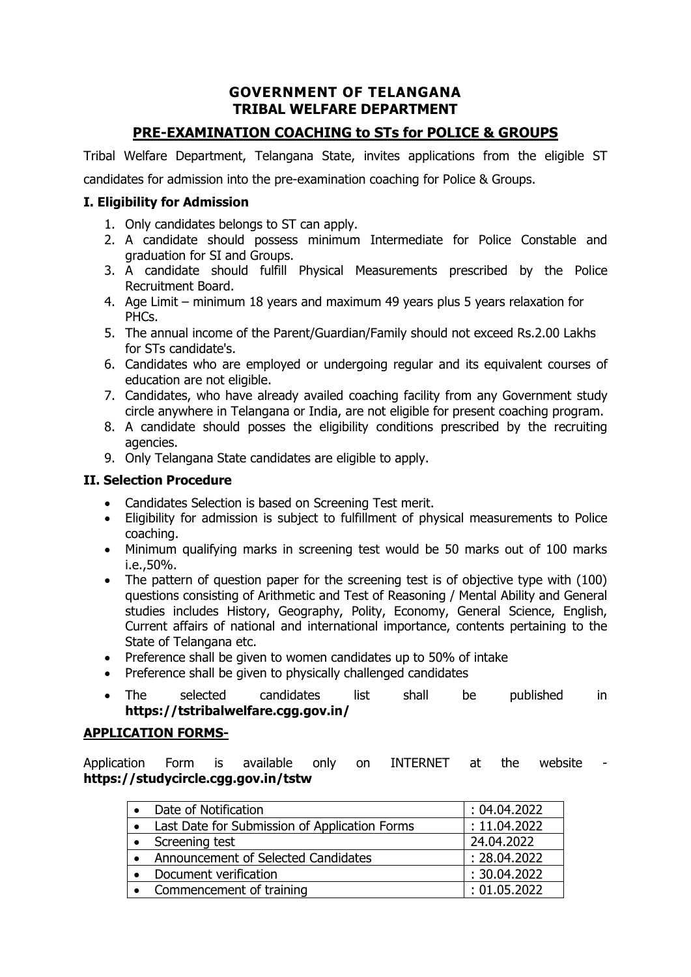## **GOVERNMENT OF TELANGANA TRIBAL WELFARE DEPARTMENT**

# **PRE-EXAMINATION COACHING to STs for POLICE & GROUPS**

Tribal Welfare Department, Telangana State, invites applications from the eligible ST

candidates for admission into the pre-examination coaching for Police & Groups.

## **I. Eligibility for Admission**

- 1. Only candidates belongs to ST can apply.
- 2. A candidate should possess minimum Intermediate for Police Constable and graduation for SI and Groups.
- 3. A candidate should fulfill Physical Measurements prescribed by the Police Recruitment Board.
- 4. Age Limit minimum 18 years and maximum 49 years plus 5 years relaxation for PHCs.
- 5. The annual income of the Parent/Guardian/Family should not exceed Rs.2.00 Lakhs for STs candidate's.
- 6. Candidates who are employed or undergoing regular and its equivalent courses of education are not eligible.
- 7. Candidates, who have already availed coaching facility from any Government study circle anywhere in Telangana or India, are not eligible for present coaching program.
- 8. A candidate should posses the eligibility conditions prescribed by the recruiting agencies.
- 9. Only Telangana State candidates are eligible to apply.

#### **II. Selection Procedure**

- Candidates Selection is based on Screening Test merit.
- Eligibility for admission is subject to fulfillment of physical measurements to Police coaching.
- Minimum qualifying marks in screening test would be 50 marks out of 100 marks i.e.,50%.
- The pattern of question paper for the screening test is of objective type with (100) questions consisting of Arithmetic and Test of Reasoning / Mental Ability and General studies includes History, Geography, Polity, Economy, General Science, English, Current affairs of national and international importance, contents pertaining to the State of Telangana etc.
- Preference shall be given to women candidates up to 50% of intake
- Preference shall be given to physically challenged candidates
- The selected candidates list shall be published in **https://tstribalwelfare.cgg.gov.in/**

## **APPLICATION FORMS-**

Application Form is available only on INTERNET at the website **https://studycircle.cgg.gov.in/tstw**

| Date of Notification                          | : 04.04.2022 |
|-----------------------------------------------|--------------|
| Last Date for Submission of Application Forms | : 11.04.2022 |
| Screening test                                | 24.04.2022   |
| Announcement of Selected Candidates           | : 28.04.2022 |
| Document verification                         | : 30.04.2022 |
| Commencement of training                      | : 01.05.2022 |